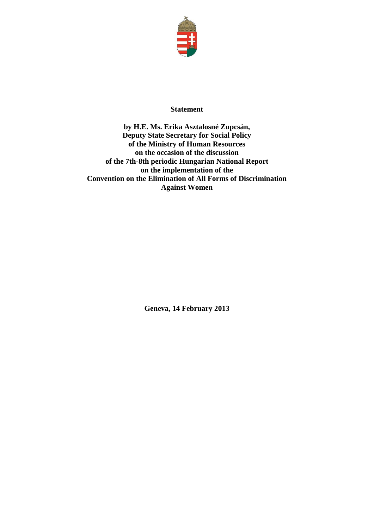

## **Statement**

**by H.E. Ms. Erika Asztalosné Zupcsán, Deputy State Secretary for Social Policy of the Ministry of Human Resources on the occasion of the discussion of the 7th-8th periodic Hungarian National Report on the implementation of the Convention on the Elimination of All Forms of Discrimination Against Women**

**Geneva, 14 February 2013**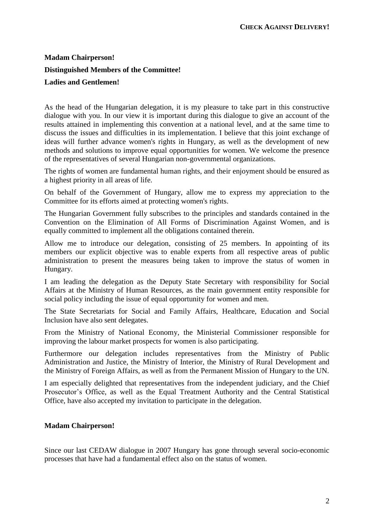# **Madam Chairperson! Distinguished Members of the Committee! Ladies and Gentlemen!**

As the head of the Hungarian delegation, it is my pleasure to take part in this constructive dialogue with you. In our view it is important during this dialogue to give an account of the results attained in implementing this convention at a national level, and at the same time to discuss the issues and difficulties in its implementation. I believe that this joint exchange of ideas will further advance women's rights in Hungary, as well as the development of new methods and solutions to improve equal opportunities for women. We welcome the presence of the representatives of several Hungarian non-governmental organizations.

The rights of women are fundamental human rights, and their enjoyment should be ensured as a highest priority in all areas of life.

On behalf of the Government of Hungary, allow me to express my appreciation to the Committee for its efforts aimed at protecting women's rights.

The Hungarian Government fully subscribes to the principles and standards contained in the Convention on the Elimination of All Forms of Discrimination Against Women, and is equally committed to implement all the obligations contained therein.

Allow me to introduce our delegation, consisting of 25 members. In appointing of its members our explicit objective was to enable experts from all respective areas of public administration to present the measures being taken to improve the status of women in Hungary.

I am leading the delegation as the Deputy State Secretary with responsibility for Social Affairs at the Ministry of Human Resources, as the main government entity responsible for social policy including the issue of equal opportunity for women and men.

The State Secretariats for Social and Family Affairs, Healthcare, Education and Social Inclusion have also sent delegates.

From the Ministry of National Economy, the Ministerial Commissioner responsible for improving the labour market prospects for women is also participating.

Furthermore our delegation includes representatives from the Ministry of Public Administration and Justice, the Ministry of Interior, the Ministry of Rural Development and the Ministry of Foreign Affairs, as well as from the Permanent Mission of Hungary to the UN.

I am especially delighted that representatives from the independent judiciary, and the Chief Prosecutor's Office, as well as the Equal Treatment Authority and the Central Statistical Office, have also accepted my invitation to participate in the delegation.

#### **Madam Chairperson!**

Since our last CEDAW dialogue in 2007 Hungary has gone through several socio-economic processes that have had a fundamental effect also on the status of women.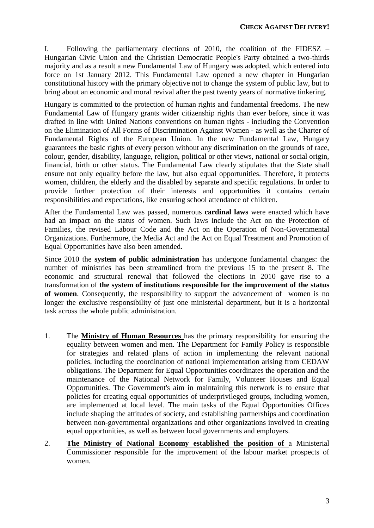I. Following the parliamentary elections of 2010, the coalition of the FIDESZ – Hungarian Civic Union and the Christian Democratic People's Party obtained a two-thirds majority and as a result a new Fundamental Law of Hungary was adopted, which entered into force on 1st January 2012. This Fundamental Law opened a new chapter in Hungarian constitutional history with the primary objective not to change the system of public law, but to bring about an economic and moral revival after the past twenty years of normative tinkering.

Hungary is committed to the protection of human rights and fundamental freedoms. The new Fundamental Law of Hungary grants wider citizenship rights than ever before, since it was drafted in line with United Nations conventions on human rights - including the Convention on the Elimination of All Forms of Discrimination Against Women - as well as the Charter of Fundamental Rights of the European Union. In the new Fundamental Law, Hungary guarantees the basic rights of every person without any discrimination on the grounds of race, colour, gender, disability, language, religion, political or other views, national or social origin, financial, birth or other status. The Fundamental Law clearly stipulates that the State shall ensure not only equality before the law, but also equal opportunities. Therefore, it protects women, children, the elderly and the disabled by separate and specific regulations. In order to provide further protection of their interests and opportunities it contains certain responsibilities and expectations, like ensuring school attendance of children.

After the Fundamental Law was passed, numerous **cardinal laws** were enacted which have had an impact on the status of women. Such laws include the Act on the Protection of Families, the revised Labour Code and the Act on the Operation of Non-Governmental Organizations. Furthermore, the Media Act and the Act on Equal Treatment and Promotion of Equal Opportunities have also been amended.

Since 2010 the **system of public administration** has undergone fundamental changes: the number of ministries has been streamlined from the previous 15 to the present 8. The economic and structural renewal that followed the elections in 2010 gave rise to a transformation of **the system of institutions responsible for the improvement of the status of women**. Consequently, the responsibility to support the advancement of women is no longer the exclusive responsibility of just one ministerial department, but it is a horizontal task across the whole public administration.

- 1. The **Ministry of Human Resources** has the primary responsibility for ensuring the equality between women and men. The Department for Family Policy is responsible for strategies and related plans of action in implementing the relevant national policies, including the coordination of national implementation arising from CEDAW obligations. The Department for Equal Opportunities coordinates the operation and the maintenance of the National Network for Family, Volunteer Houses and Equal Opportunities. The Government's aim in maintaining this network is to ensure that policies for creating equal opportunities of underprivileged groups, including women, are implemented at local level. The main tasks of the Equal Opportunities Offices include shaping the attitudes of society, and establishing partnerships and coordination between non-governmental organizations and other organizations involved in creating equal opportunities, as well as between local governments and employers.
- 2. **The Ministry of National Economy established the position of** a Ministerial Commissioner responsible for the improvement of the labour market prospects of women.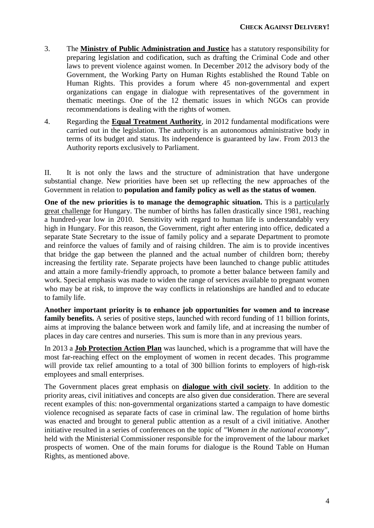- 3. The **Ministry of Public Administration and Justice** has a statutory responsibility for preparing legislation and codification, such as drafting the Criminal Code and other laws to prevent violence against women. In December 2012 the advisory body of the Government, the Working Party on Human Rights established the Round Table on Human Rights. This provides a forum where 45 non-governmental and expert organizations can engage in dialogue with representatives of the government in thematic meetings. One of the 12 thematic issues in which NGOs can provide recommendations is dealing with the rights of women.
- 4. Regarding the **Equal Treatment Authority**, in 2012 fundamental modifications were carried out in the legislation. The authority is an autonomous administrative body in terms of its budget and status. Its independence is guaranteed by law. From 2013 the Authority reports exclusively to Parliament.

II. It is not only the laws and the structure of administration that have undergone substantial change. New priorities have been set up reflecting the new approaches of the Government in relation to **population and family policy as well as the status of women**.

**One of the new priorities is to manage the demographic situation.** This is a particularly great challenge for Hungary. The number of births has fallen drastically since 1981, reaching a hundred-year low in 2010. Sensitivity with regard to human life is understandably very high in Hungary. For this reason, the Government, right after entering into office, dedicated a separate State Secretary to the issue of family policy and a separate Department to promote and reinforce the values of family and of raising children. The aim is to provide incentives that bridge the gap between the planned and the actual number of children born; thereby increasing the fertility rate. Separate projects have been launched to change public attitudes and attain a more family-friendly approach, to promote a better balance between family and work. Special emphasis was made to widen the range of services available to pregnant women who may be at risk, to improve the way conflicts in relationships are handled and to educate to family life.

**Another important priority is to enhance job opportunities for women and to increase**  family benefits. A series of positive steps, launched with record funding of 11 billion forints, aims at improving the balance between work and family life, and at increasing the number of places in day care centres and nurseries. This sum is more than in any previous years.

In 2013 a **Job Protection Action Plan** was launched, which is a programme that will have the most far-reaching effect on the employment of women in recent decades. This programme will provide tax relief amounting to a total of 300 billion forints to employers of high-risk employees and small enterprises.

The Government places great emphasis on **dialogue with civil society**. In addition to the priority areas, civil initiatives and concepts are also given due consideration. There are several recent examples of this: non-governmental organizations started a campaign to have domestic violence recognised as separate facts of case in criminal law. The regulation of home births was enacted and brought to general public attention as a result of a civil initiative. Another initiative resulted in a series of conferences on the topic of *"Women in the national economy"*, held with the Ministerial Commissioner responsible for the improvement of the labour market prospects of women. One of the main forums for dialogue is the Round Table on Human Rights, as mentioned above.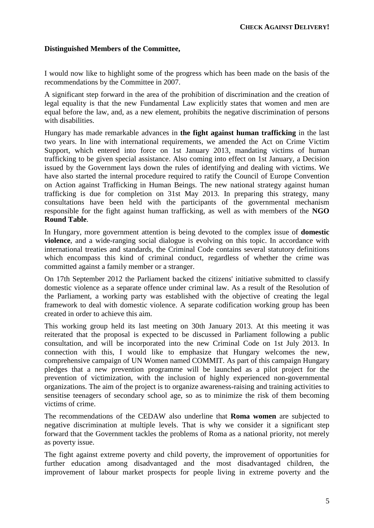#### **Distinguished Members of the Committee,**

I would now like to highlight some of the progress which has been made on the basis of the recommendations by the Committee in 2007.

A significant step forward in the area of the prohibition of discrimination and the creation of legal equality is that the new Fundamental Law explicitly states that women and men are equal before the law, and, as a new element, prohibits the negative discrimination of persons with disabilities.

Hungary has made remarkable advances in **the fight against human trafficking** in the last two years. In line with international requirements, we amended the Act on Crime Victim Support, which entered into force on 1st January 2013, mandating victims of human trafficking to be given special assistance. Also coming into effect on 1st January, a Decision issued by the Government lays down the rules of identifying and dealing with victims. We have also started the internal procedure required to ratify the Council of Europe Convention on Action against Trafficking in Human Beings. The new national strategy against human trafficking is due for completion on 31st May 2013. In preparing this strategy, many consultations have been held with the participants of the governmental mechanism responsible for the fight against human trafficking, as well as with members of the **NGO Round Table**.

In Hungary, more government attention is being devoted to the complex issue of **domestic violence**, and a wide-ranging social dialogue is evolving on this topic. In accordance with international treaties and standards, the Criminal Code contains several statutory definitions which encompass this kind of criminal conduct, regardless of whether the crime was committed against a family member or a stranger.

On 17th September 2012 the Parliament backed the citizens' initiative submitted to classify domestic violence as a separate offence under criminal law. As a result of the Resolution of the Parliament, a working party was established with the objective of creating the legal framework to deal with domestic violence. A separate codification working group has been created in order to achieve this aim.

This working group held its last meeting on 30th January 2013. At this meeting it was reiterated that the proposal is expected to be discussed in Parliament following a public consultation, and will be incorporated into the new Criminal Code on 1st July 2013. In connection with this, I would like to emphasize that Hungary welcomes the new, comprehensive campaign of UN Women named COMMIT. As part of this campaign Hungary pledges that a new prevention programme will be launched as a pilot project for the prevention of victimization, with the inclusion of highly experienced non-governmental organizations. The aim of the project is to organize awareness-raising and training activities to sensitise teenagers of secondary school age, so as to minimize the risk of them becoming victims of crime.

The recommendations of the CEDAW also underline that **Roma women** are subjected to negative discrimination at multiple levels. That is why we consider it a significant step forward that the Government tackles the problems of Roma as a national priority, not merely as poverty issue.

The fight against extreme poverty and child poverty, the improvement of opportunities for further education among disadvantaged and the most disadvantaged children, the improvement of labour market prospects for people living in extreme poverty and the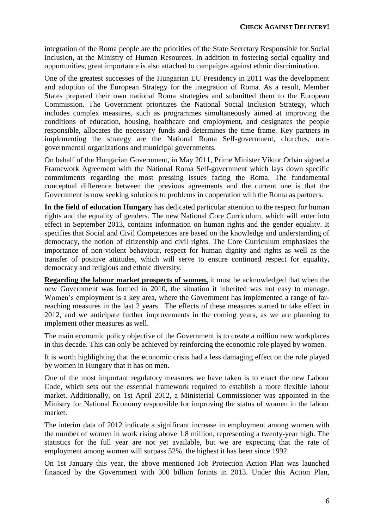integration of the Roma people are the priorities of the State Secretary Responsible for Social Inclusion, at the Ministry of Human Resources. In addition to fostering social equality and opportunities, great importance is also attached to campaigns against ethnic discrimination.

One of the greatest successes of the Hungarian EU Presidency in 2011 was the development and adoption of the European Strategy for the integration of Roma. As a result, Member States prepared their own national Roma strategies and submitted them to the European Commission. The Government prioritizes the National Social Inclusion Strategy, which includes complex measures, such as programmes simultaneously aimed at improving the conditions of education, housing, healthcare and employment, and designates the people responsible, allocates the necessary funds and determines the time frame. Key partners in implementing the strategy are the National Roma Self-government, churches, nongovernmental organizations and municipal governments.

On behalf of the Hungarian Government, in May 2011, Prime Minister Viktor Orbán signed a Framework Agreement with the National Roma Self-government which lays down specific commitments regarding the most pressing issues facing the Roma. The fundamental conceptual difference between the previous agreements and the current one is that the Government is now seeking solutions to problems in cooperation with the Roma as partners.

**In the field of education Hungary** has dedicated particular attention to the respect for human rights and the equality of genders. The new National Core Curriculum, which will enter into effect in September 2013, contains information on human rights and the gender equality. It specifies that Social and Civil Competences are based on the knowledge and understanding of democracy, the notion of citizenship and civil rights. The Core Curriculum emphasizes the importance of non-violent behaviour, respect for human dignity and rights as well as the transfer of positive attitudes, which will serve to ensure continued respect for equality, democracy and religious and ethnic diversity.

**Regarding the labour market prospects of women,** it must be acknowledged that when the new Government was formed in 2010, the situation it inherited was not easy to manage. Women's employment is a key area, where the Government has implemented a range of farreaching measures in the last 2 years. The effects of these measures started to take effect in 2012, and we anticipate further improvements in the coming years, as we are planning to implement other measures as well.

The main economic policy objective of the Government is to create a million new workplaces in this decade. This can only be achieved by reinforcing the economic role played by women.

It is worth highlighting that the economic crisis had a less damaging effect on the role played by women in Hungary that it has on men.

One of the most important regulatory measures we have taken is to enact the new Labour Code, which sets out the essential framework required to establish a more flexible labour market. Additionally, on 1st April 2012, a Ministerial Commissioner was appointed in the Ministry for National Economy responsible for improving the status of women in the labour market.

The interim data of 2012 indicate a significant increase in employment among women with the number of women in work rising above 1.8 million, representing a twenty-year high. The statistics for the full year are not yet available, but we are expecting that the rate of employment among women will surpass 52%, the highest it has been since 1992.

On 1st January this year, the above mentioned Job Protection Action Plan was launched financed by the Government with 300 billion forints in 2013. Under this Action Plan,